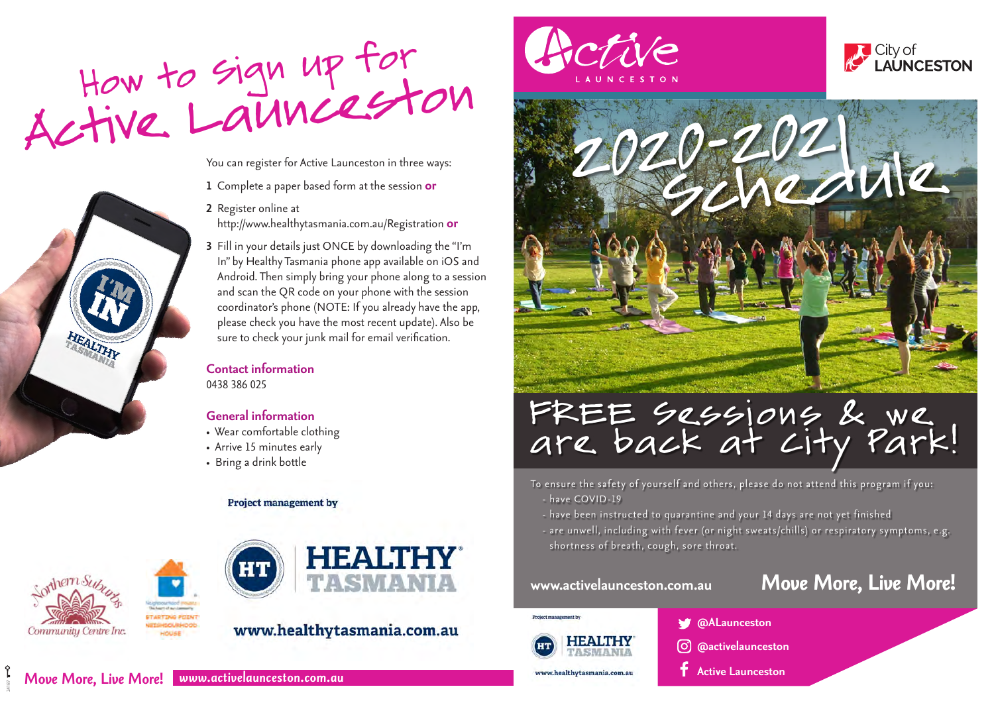

You can register for Active Launceston in three ways:

- **1** Complete a paper based form at the session **or**
- **2** Register online at http://www.healthytasmania.com.au/Registration **or**
- **3** Fill in your details just ONCE by downloading the "I'm In" by Healthy Tasmania phone app available on iOS and Android. Then simply bring your phone along to a session and scan the QR code on your phone with the session coordinator's phone (NOTE: If you already have the app, please check you have the most recent update). Also be sure to check your junk mail for email verification.

## **Contact information**  0438 386 025

## **General information**

- Wear comfortable clothing
- Arrive 15 minutes early
- Bring a drink bottle

### **Project management by**



24187



# www.healthytasmania.com.au





# FREE Sessions & we<br>are back at City Park!

To ensure the safety of yourself and others, please do not attend this program if you: - have COVID-19

- have been instructed to quarantine and your 14 days are not yet finished
- are unwell, including with fever (or night sweats/chills) or respiratory symptoms, e.g. shortness of breath, cough, sore throat.

# **www.activelaunceston.com.au** *Move More, Live More!*

**City of LAUNCESTON** 



www.healthytasmania.com.au

**@ALaunceston**

- **@activelaunceston**
- **Active Launceston**

*Move More, Live More! www.activelaunceston.com.au*